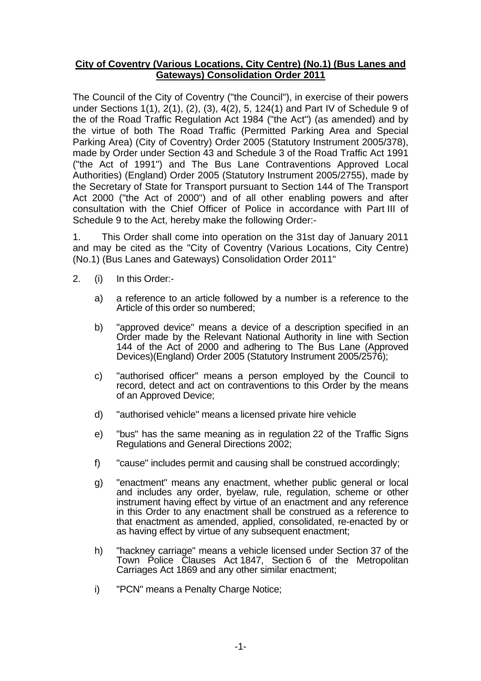# **City of Coventry (Various Locations, City Centre) (No.1) (Bus Lanes and Gateways) Consolidation Order 2011**

The Council of the City of Coventry ("the Council"), in exercise of their powers under Sections 1(1), 2(1), (2), (3), 4(2), 5, 124(1) and Part IV of Schedule 9 of the of the Road Traffic Regulation Act 1984 ("the Act") (as amended) and by the virtue of both The Road Traffic (Permitted Parking Area and Special Parking Area) (City of Coventry) Order 2005 (Statutory Instrument 2005/378), made by Order under Section 43 and Schedule 3 of the Road Traffic Act 1991 ("the Act of 1991") and The Bus Lane Contraventions Approved Local Authorities) (England) Order 2005 (Statutory Instrument 2005/2755), made by the Secretary of State for Transport pursuant to Section 144 of The Transport Act 2000 ("the Act of 2000") and of all other enabling powers and after consultation with the Chief Officer of Police in accordance with Part III of Schedule 9 to the Act, hereby make the following Order:-

1. This Order shall come into operation on the 31st day of January 2011 and may be cited as the "City of Coventry (Various Locations, City Centre) (No.1) (Bus Lanes and Gateways) Consolidation Order 2011"

- 2. (i) In this Order:
	- a) a reference to an article followed by a number is a reference to the Article of this order so numbered;
	- b) "approved device" means a device of a description specified in an Order made by the Relevant National Authority in line with Section 144 of the Act of 2000 and adhering to The Bus Lane (Approved Devices)(England) Order 2005 (Statutory Instrument 2005/2576);
	- c) "authorised officer" means a person employed by the Council to record, detect and act on contraventions to this Order by the means of an Approved Device;
	- d) "authorised vehicle" means a licensed private hire vehicle
	- e) "bus" has the same meaning as in regulation 22 of the Traffic Signs Regulations and General Directions 2002;
	- f) "cause" includes permit and causing shall be construed accordingly;
	- g) "enactment" means any enactment, whether public general or local and includes any order, byelaw, rule, regulation, scheme or other instrument having effect by virtue of an enactment and any reference in this Order to any enactment shall be construed as a reference to that enactment as amended, applied, consolidated, re-enacted by or as having effect by virtue of any subsequent enactment;
	- h) "hackney carriage" means a vehicle licensed under Section 37 of the Town Police Clauses Act 1847, Section 6 of the Metropolitan Carriages Act 1869 and any other similar enactment;
	- i) "PCN" means a Penalty Charge Notice;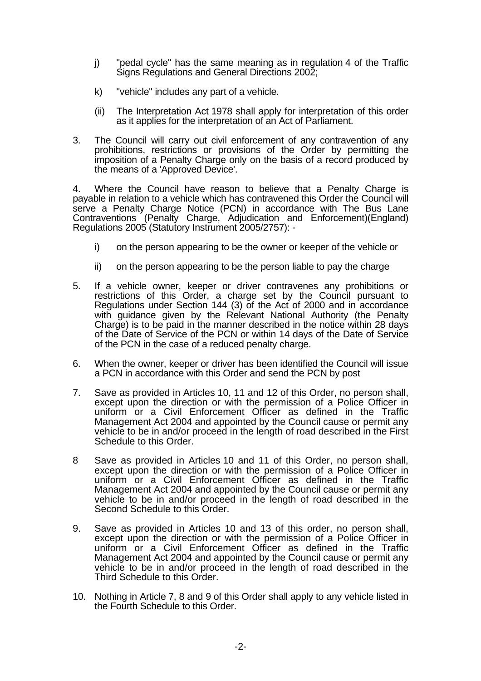- j) "pedal cycle" has the same meaning as in regulation 4 of the Traffic Signs Regulations and General Directions 2002;
- k) "vehicle" includes any part of a vehicle.
- (ii) The Interpretation Act 1978 shall apply for interpretation of this order as it applies for the interpretation of an Act of Parliament.
- 3. The Council will carry out civil enforcement of any contravention of any prohibitions, restrictions or provisions of the Order by permitting the imposition of a Penalty Charge only on the basis of a record produced by the means of a 'Approved Device'.

4. Where the Council have reason to believe that a Penalty Charge is payable in relation to a vehicle which has contravened this Order the Council will serve a Penalty Charge Notice (PCN) in accordance with The Bus Lane Contraventions (Penalty Charge, Adjudication and Enforcement)(England) Regulations 2005 (Statutory Instrument 2005/2757): -

- i) on the person appearing to be the owner or keeper of the vehicle or
- ii) on the person appearing to be the person liable to pay the charge
- 5. If a vehicle owner, keeper or driver contravenes any prohibitions or restrictions of this Order, a charge set by the Council pursuant to Regulations under Section 144 (3) of the Act of 2000 and in accordance with guidance given by the Relevant National Authority (the Penalty Charge) is to be paid in the manner described in the notice within 28 days of the Date of Service of the PCN or within 14 days of the Date of Service of the PCN in the case of a reduced penalty charge.
- 6. When the owner, keeper or driver has been identified the Council will issue a PCN in accordance with this Order and send the PCN by post
- 7. Save as provided in Articles 10, 11 and 12 of this Order, no person shall, except upon the direction or with the permission of a Police Officer in uniform or a Civil Enforcement Officer as defined in the Traffic Management Act 2004 and appointed by the Council cause or permit any vehicle to be in and/or proceed in the length of road described in the First Schedule to this Order.
- 8 Save as provided in Articles 10 and 11 of this Order, no person shall, except upon the direction or with the permission of a Police Officer in uniform or a Civil Enforcement Officer as defined in the Traffic Management Act 2004 and appointed by the Council cause or permit any vehicle to be in and/or proceed in the length of road described in the Second Schedule to this Order.
- 9. Save as provided in Articles 10 and 13 of this order, no person shall, except upon the direction or with the permission of a Police Officer in uniform or a Civil Enforcement Officer as defined in the Traffic Management Act 2004 and appointed by the Council cause or permit any vehicle to be in and/or proceed in the length of road described in the Third Schedule to this Order.
- 10. Nothing in Article 7, 8 and 9 of this Order shall apply to any vehicle listed in the Fourth Schedule to this Order.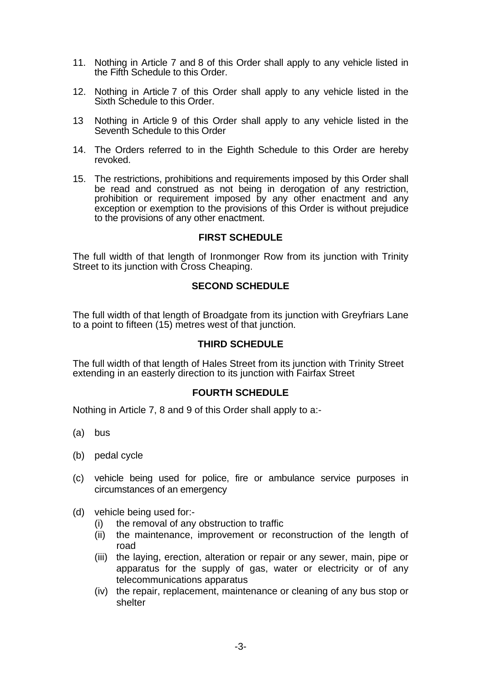- 11. Nothing in Article 7 and 8 of this Order shall apply to any vehicle listed in the Fifth Schedule to this Order.
- 12. Nothing in Article 7 of this Order shall apply to any vehicle listed in the Sixth Schedule to this Order.
- 13 Nothing in Article 9 of this Order shall apply to any vehicle listed in the Seventh Schedule to this Order
- 14. The Orders referred to in the Eighth Schedule to this Order are hereby revoked.
- 15. The restrictions, prohibitions and requirements imposed by this Order shall be read and construed as not being in derogation of any restriction, prohibition or requirement imposed by any other enactment and any exception or exemption to the provisions of this Order is without prejudice to the provisions of any other enactment.

## **FIRST SCHEDULE**

The full width of that length of Ironmonger Row from its junction with Trinity Street to its junction with Cross Cheaping.

### **SECOND SCHEDULE**

The full width of that length of Broadgate from its junction with Greyfriars Lane to a point to fifteen (15) metres west of that junction.

### **THIRD SCHEDULE**

The full width of that length of Hales Street from its junction with Trinity Street extending in an easterly direction to its junction with Fairfax Street

### **FOURTH SCHEDULE**

Nothing in Article 7, 8 and 9 of this Order shall apply to a:-

- (a) bus
- (b) pedal cycle
- (c) vehicle being used for police, fire or ambulance service purposes in circumstances of an emergency
- (d) vehicle being used for:-
	- (i) the removal of any obstruction to traffic
	- (ii) the maintenance, improvement or reconstruction of the length of road
	- (iii) the laying, erection, alteration or repair or any sewer, main, pipe or apparatus for the supply of gas, water or electricity or of any telecommunications apparatus
	- (iv) the repair, replacement, maintenance or cleaning of any bus stop or shelter